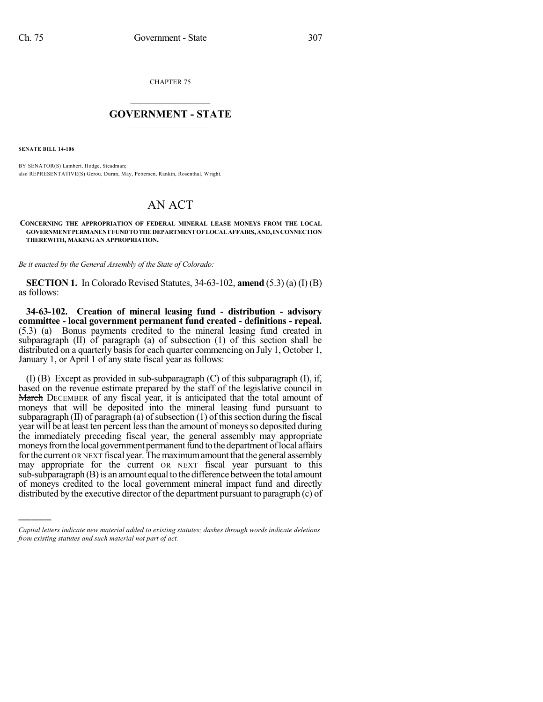CHAPTER 75

## $\mathcal{L}_\text{max}$  . The set of the set of the set of the set of the set of the set of the set of the set of the set of the set of the set of the set of the set of the set of the set of the set of the set of the set of the set **GOVERNMENT - STATE**  $\_$   $\_$   $\_$   $\_$   $\_$   $\_$   $\_$   $\_$   $\_$

**SENATE BILL 14-106**

)))))

BY SENATOR(S) Lambert, Hodge, Steadman; also REPRESENTATIVE(S) Gerou, Duran, May, Pettersen, Rankin, Rosenthal, Wright.

## AN ACT

**CONCERNING THE APPROPRIATION OF FEDERAL MINERAL LEASE MONEYS FROM THE LOCAL GOVERNMENTPERMANENTFUNDTOTHEDEPARTMENTOFLOCALAFFAIRS,AND,INCONNECTION THEREWITH, MAKING AN APPROPRIATION.**

*Be it enacted by the General Assembly of the State of Colorado:*

**SECTION 1.** In Colorado Revised Statutes, 34-63-102, **amend** (5.3) (a) (I) (B) as follows:

**34-63-102. Creation of mineral leasing fund - distribution - advisory committee - local government permanent fund created - definitions - repeal.** (5.3) (a) Bonus payments credited to the mineral leasing fund created in subparagraph (II) of paragraph (a) of subsection (1) of this section shall be distributed on a quarterly basis for each quarter commencing on July 1, October 1, January 1, or April 1 of any state fiscal year as follows:

(I) (B) Except as provided in sub-subparagraph (C) of this subparagraph (I), if, based on the revenue estimate prepared by the staff of the legislative council in March DECEMBER of any fiscal year, it is anticipated that the total amount of moneys that will be deposited into the mineral leasing fund pursuant to subparagraph  $(II)$  of paragraph  $(a)$  of subsection  $(1)$  of this section during the fiscal year will be at least ten percent less than the amount of moneys so deposited during the immediately preceding fiscal year, the general assembly may appropriate moneys from the local government permanent fund to the department of local affairs for the current OR NEXT fiscal year. The maximum amount that the general assembly may appropriate for the current OR NEXT fiscal year pursuant to this  $sub-subparagram$   $(B)$  is an amount equal to the difference between the total amount of moneys credited to the local government mineral impact fund and directly distributed by the executive director of the department pursuant to paragraph (c) of

*Capital letters indicate new material added to existing statutes; dashes through words indicate deletions from existing statutes and such material not part of act.*